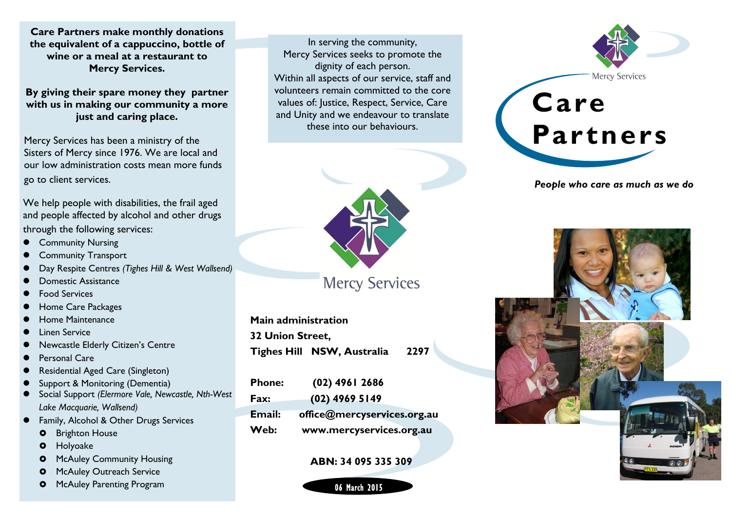**Care Partners make monthly donations the equivalent of a cappuccino, bottle of wine or a meal at a restaurant to Mercy Services.** 

**By giving their spare money they partner with us in making our community a more just and caring place.**

Mercy Services has been a ministry of the Sisters of Mercy since 1976. We are local and our low administration costs mean more funds go to client services.

We help people with disabilities, the frail aged and people affected by alcohol and other drugs through the following services:

- Community Nursing
- Community Transport
- Day Respite Centres *(Tighes Hill & West Wallsend)*
- Domestic Assistance
- Food Services
- Home Care Packages
- Home Maintenance
- Linen Service
- Newcastle Elderly Citizen's Centre
- Personal Care
- Residential Aged Care (Singleton)
- Support & Monitoring (Dementia)
- Social Support *(Elermore Vale, Newcastle, Nth-West Lake Macquarie, Wallsend)*
- Family, Alcohol & Other Drugs Services
	- **O** Brighton House
	- **O** Holyoake
	- McAuley Community Housing
	- McAuley Outreach Service
	- McAuley Parenting Program

In serving the community, Mercy Services seeks to promote the dignity of each person. Within all aspects of our service, staff and volunteers remain committed to the core values of: Justice, Respect, Service, Care and Unity and we endeavour to translate these into our behaviours.



**Mercy Services** 

**Main administration 32 Union Street, Tighes Hill NSW, Australia 2297**

| <b>Phone:</b> | $(02)$ 4961 2686            |
|---------------|-----------------------------|
| Fax:          | $(02)$ 4969 5149            |
| Email:        | office@mercyservices.org.au |
| Web:          | www.mercyservices.org.au    |

## **ABN: 34 095 335 309**





*People who care as much as we do*